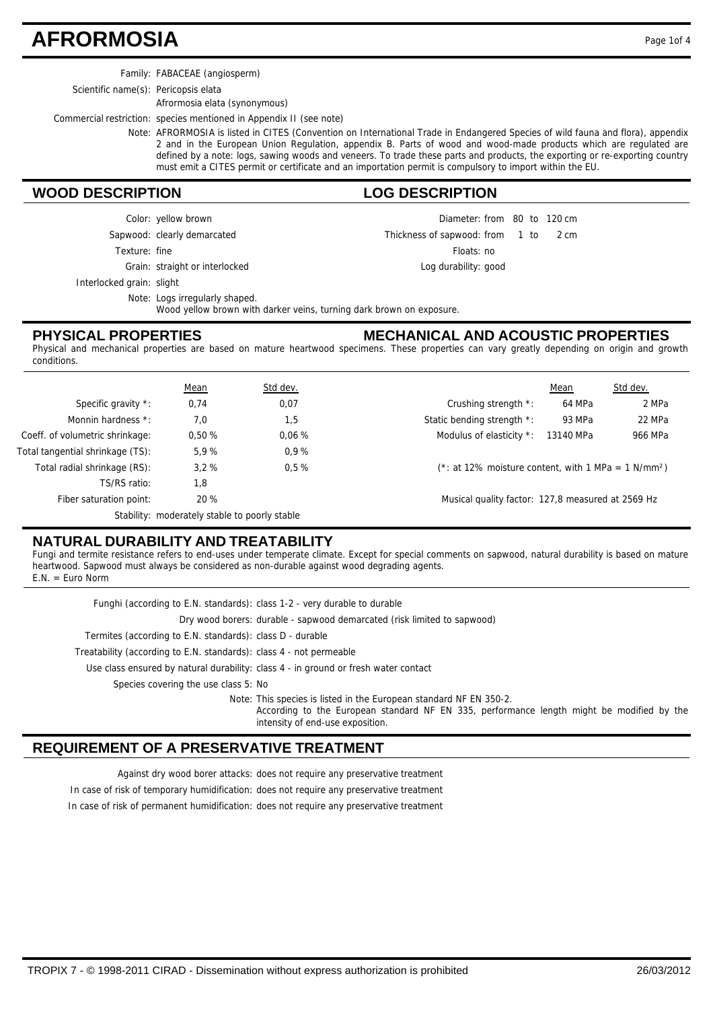### **AFRORMOSIA** Page 1of 4

Family: FABACEAE (angiosperm)

Scientific name(s): Pericopsis elata

Afrormosia elata (synonymous)

Commercial restriction: species mentioned in Appendix II (see note)

Note: AFRORMOSIA is listed in CITES (Convention on International Trade in Endangered Species of wild fauna and flora), appendix 2 and in the European Union Regulation, appendix B. Parts of wood and wood-made products which are regulated are defined by a note: logs, sawing woods and veneers. To trade these parts and products, the exporting or re-exporting country must emit a CITES permit or certificate and an importation permit is compulsory to import within the EU.

#### **WOOD DESCRIPTION LOG DESCRIPTION**

Diameter: from 80 to 120 cm 1 to  $2 \text{ cm}$ Floats: no Log durability: good Thickness of sapwood: from 1 to 2 cm

Grain: straight or interlocked Texture: fine

Interlocked grain: slight

Note: Logs irregularly shaped.

Sapwood: clearly demarcated Color: yellow brown

Wood yellow brown with darker veins, turning dark brown on exposure.

#### **PHYSICAL PROPERTIES**

**MECHANICAL AND ACOUSTIC PROPERTIES**

Physical and mechanical properties are based on mature heartwood specimens. These properties can vary greatly depending on origin and growth conditions.

|                                  | <u>Mean</u>                                   | Std dev. |                                                                 | Mean      | Std dev. |
|----------------------------------|-----------------------------------------------|----------|-----------------------------------------------------------------|-----------|----------|
| Specific gravity *:              | 0,74                                          | 0,07     | Crushing strength *:                                            | 64 MPa    | 2 MPa    |
| Monnin hardness *:               | 7.0                                           | 1,5      | Static bending strength *:                                      | 93 MPa    | 22 MPa   |
| Coeff. of volumetric shrinkage:  | 0.50%                                         | 0.06%    | Modulus of elasticity *:                                        | 13140 MPa | 966 MPa  |
| Total tangential shrinkage (TS): | 5.9%                                          | 0.9%     |                                                                 |           |          |
| Total radial shrinkage (RS):     | 3.2%                                          | $0.5 \%$ | (*: at 12% moisture content, with 1 MPa = 1 N/mm <sup>2</sup> ) |           |          |
| TS/RS ratio:                     | 1.8                                           |          |                                                                 |           |          |
| Fiber saturation point:          | 20 %                                          |          | Musical quality factor: 127,8 measured at 2569 Hz               |           |          |
|                                  | Stability: moderately stable to poorly stable |          |                                                                 |           |          |

### **NATURAL DURABILITY AND TREATABILITY**

Fungi and termite resistance refers to end-uses under temperate climate. Except for special comments on sapwood, natural durability is based on mature heartwood. Sapwood must always be considered as non-durable against wood degrading agents. E.N. = Euro Norm

Funghi (according to E.N. standards): class 1-2 - very durable to durable

Dry wood borers: durable - sapwood demarcated (risk limited to sapwood)

Termites (according to E.N. standards): class D - durable

Treatability (according to E.N. standards): class 4 - not permeable

Use class ensured by natural durability: class 4 - in ground or fresh water contact

Species covering the use class 5: No

Note: This species is listed in the European standard NF EN 350-2.

According to the European standard NF EN 335, performance length might be modified by the intensity of end-use exposition.

#### **REQUIREMENT OF A PRESERVATIVE TREATMENT**

Against dry wood borer attacks: does not require any preservative treatment

In case of risk of temporary humidification: does not require any preservative treatment

In case of risk of permanent humidification: does not require any preservative treatment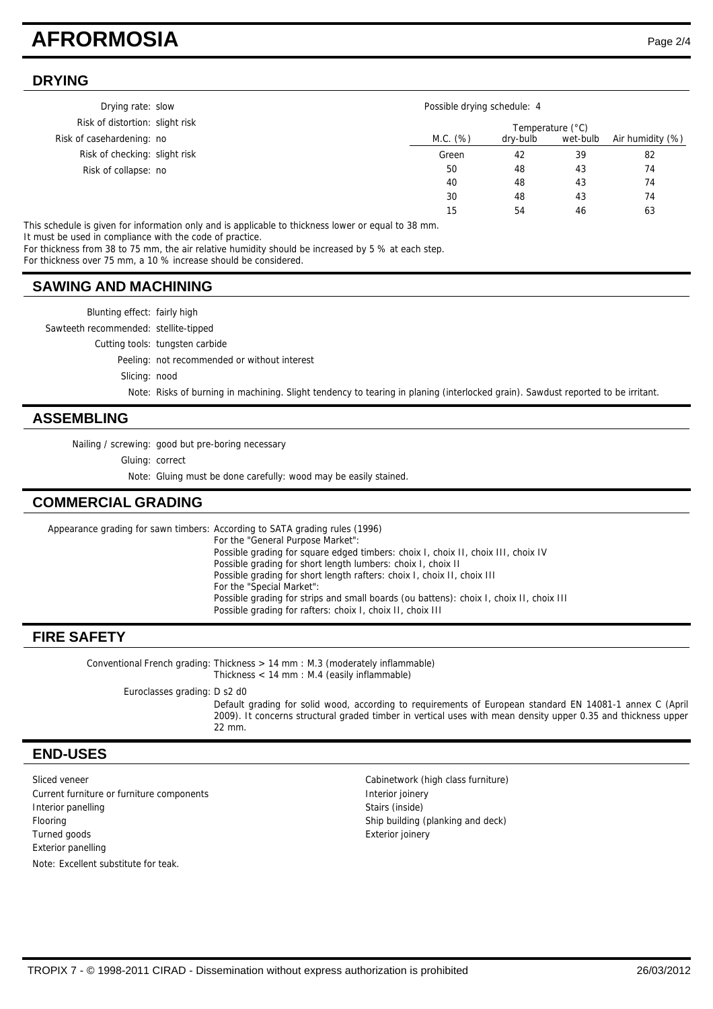### **AFRORMOSIA** Page 2/4

15 54 46 63

#### **DRYING**

| Drying rate: slow               |  | Possible drying schedule: 4 |          |                  |  |
|---------------------------------|--|-----------------------------|----------|------------------|--|
| Risk of distortion: slight risk |  | Temperature (°C)            |          |                  |  |
| Risk of casehardening: no       |  | M.C. (%)<br>dry-bulb        | wet-bulb | Air humidity (%) |  |
| Risk of checking: slight risk   |  | Green<br>42                 | 39       | 82               |  |
| Risk of collapse: no            |  | 50<br>48                    | 43       | 74               |  |
|                                 |  | 40<br>48                    | 43       | 74               |  |
|                                 |  | 30<br>48                    | 43       | 74               |  |

This schedule is given for information only and is applicable to thickness lower or equal to 38 mm. It must be used in compliance with the code of practice.

For thickness from 38 to 75 mm, the air relative humidity should be increased by 5 % at each step.

For thickness over 75 mm, a 10 % increase should be considered.

#### **SAWING AND MACHINING**

Blunting effect: fairly high Sawteeth recommended: stellite-tipped Cutting tools: tungsten carbide Peeling: not recommended or without interest Slicing: nood Note: Risks of burning in machining. Slight tendency to tearing in planing (interlocked grain). Sawdust reported to be irritant.

#### **ASSEMBLING**

Nailing / screwing: good but pre-boring necessary

Gluing: correct

Note: Gluing must be done carefully: wood may be easily stained.

#### **COMMERCIAL GRADING**

Appearance grading for sawn timbers: According to SATA grading rules (1996) For the "General Purpose Market": Possible grading for square edged timbers: choix I, choix II, choix III, choix IV Possible grading for short length lumbers: choix I, choix II Possible grading for short length rafters: choix I, choix II, choix III For the "Special Market": Possible grading for strips and small boards (ou battens): choix I, choix II, choix III Possible grading for rafters: choix I, choix II, choix III

#### **FIRE SAFETY**

Conventional French grading: Thickness > 14 mm : M.3 (moderately inflammable) Thickness < 14 mm : M.4 (easily inflammable)

Euroclasses grading: D s2 d0

Default grading for solid wood, according to requirements of European standard EN 14081-1 annex C (April 2009). It concerns structural graded timber in vertical uses with mean density upper 0.35 and thickness upper 22 mm.

#### **END-USES**

Sliced veneer **Cabinetwork (high class furniture)** Cabinetwork (high class furniture) Current furniture or furniture components and a literature of the literature or furniture components Interior panelling Stairs (inside) Flooring Ship building (planking and deck) Turned goods **Exterior ionery** Exterior joinery Exterior panelling Note: Excellent substitute for teak.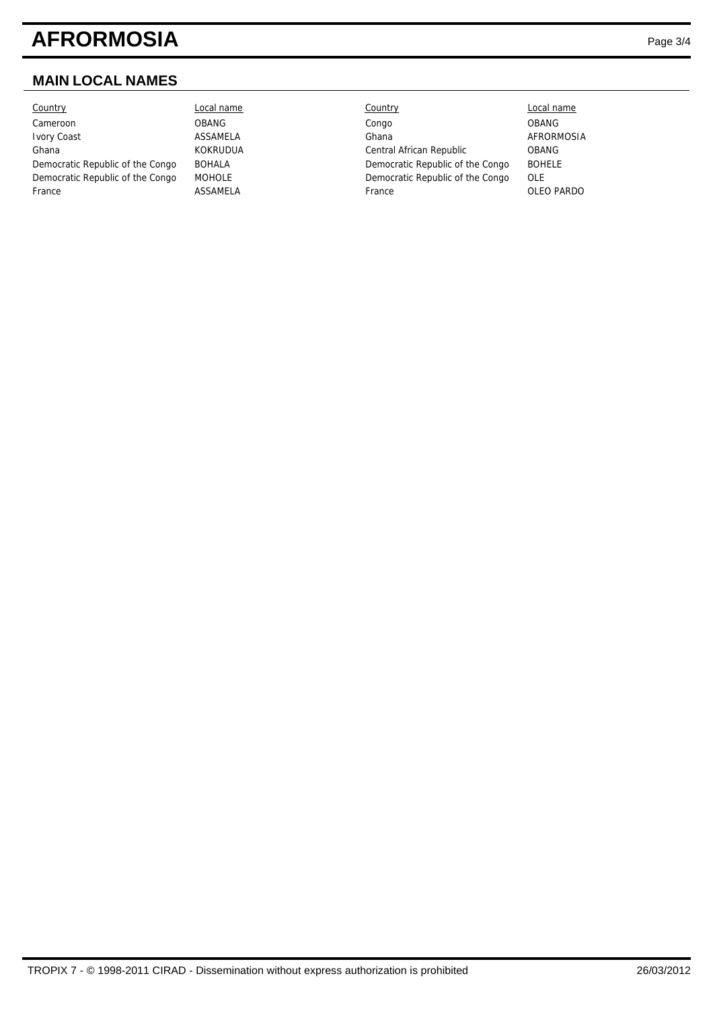# **AFRORMOSIA** Page 3/4

### **MAIN LOCAL NAMES**

| Country                          |
|----------------------------------|
| Cameroon                         |
| <b>Ivory Coast</b>               |
| Ghana                            |
| Democratic Republic of the Congo |
| Democratic Republic of the Congo |
| France                           |

| Country                          | Local name      | Country                          | Local name    |
|----------------------------------|-----------------|----------------------------------|---------------|
| Cameroon                         | <b>OBANG</b>    | Congo                            | <b>OBANG</b>  |
| Ivory Coast                      | ASSAMELA        | Ghana                            | AFRORMOSIA    |
| Ghana                            | <b>KOKRUDUA</b> | Central African Republic         | <b>OBANG</b>  |
| Democratic Republic of the Congo | <b>BOHALA</b>   | Democratic Republic of the Congo | <b>BOHELE</b> |
| Democratic Republic of the Congo | <b>MOHOLE</b>   | Democratic Republic of the Congo | OLE           |
| France                           | ASSAMELA        | France                           | OLEO PARDO    |